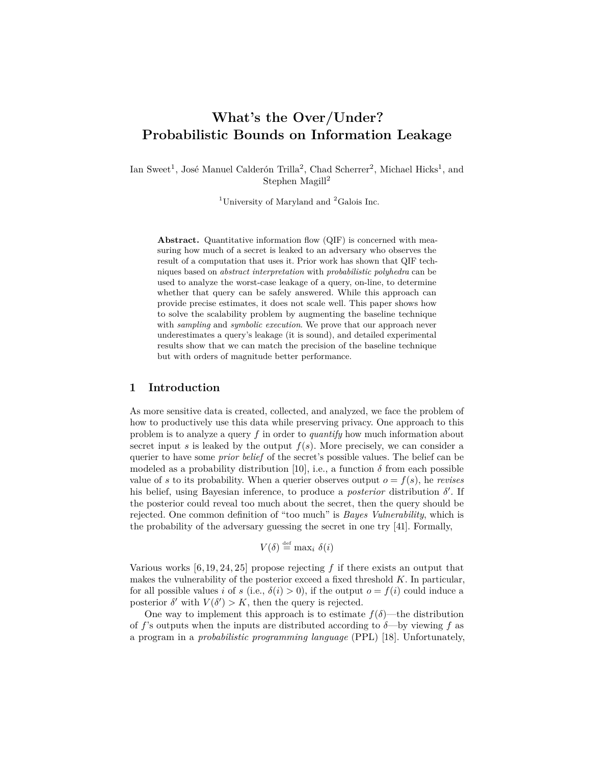# **What's the Over/Under? Probabilistic Bounds on Information Leakage**

Ian Sweet<sup>1</sup>, José Manuel Calderón Trilla<sup>2</sup>, Chad Scherrer<sup>2</sup>, Michael Hicks<sup>1</sup>, and Stephen Magill<sup>2</sup>

<sup>1</sup>University of Maryland and  ${}^{2}$ Galois Inc.

Abstract. Quantitative information flow (QIF) is concerned with measuring how much of a secret is leaked to an adversary who observes the result of a computation that uses it. Prior work has shown that QIF techniques based on *abstract interpretation* with *probabilistic polyhedra* can be used to analyze the worst-case leakage of a query, on-line, to determine whether that query can be safely answered. While this approach can provide precise estimates, it does not scale well. This paper shows how to solve the scalability problem by augmenting the baseline technique with *sampling* and *symbolic execution*. We prove that our approach never underestimates a query's leakage (it is sound), and detailed experimental results show that we can match the precision of the baseline technique but with orders of magnitude better performance.

## **1 Introduction**

As more sensitive data is created, collected, and analyzed, we face the problem of how to productively use this data while preserving privacy. One approach to this problem is to analyze a query *f* in order to *quantify* how much information about secret input *s* is leaked by the output  $f(s)$ . More precisely, we can consider a querier to have some *prior belief* of the secret's possible values. The belief can be modeled as a probability distribution [\[10\]](#page-20-0), i.e., a function  $\delta$  from each possible value of *s* to its probability. When a querier observes output  $o = f(s)$ , he *revises* his belief, using Bayesian inference, to produce a *posterior* distribution *δ* ′ . If the posterior could reveal too much about the secret, then the query should be rejected. One common definition of "too much" is *Bayes Vulnerability*, which is the probability of the adversary guessing the secret in one try [\[41\]](#page-22-0). Formally,

$$
V(\delta) \stackrel{\text{def}}{=} \max_i \delta(i)
$$

Various works [\[6,](#page-20-1) [19,](#page-21-0) [24,](#page-21-1) [25\]](#page-21-2) propose rejecting *f* if there exists an output that makes the vulnerability of the posterior exceed a fixed threshold *K*. In particular, for all possible values *i* of *s* (i.e.,  $\delta(i) > 0$ ), if the output  $o = f(i)$  could induce a posterior  $\delta'$  with  $V(\delta') > K$ , then the query is rejected.

One way to implement this approach is to estimate  $f(\delta)$ —the distribution of  $f$ 's outputs when the inputs are distributed according to  $\delta$ —by viewing  $f$  as a program in a *probabilistic programming language* (PPL) [\[18\]](#page-21-3). Unfortunately,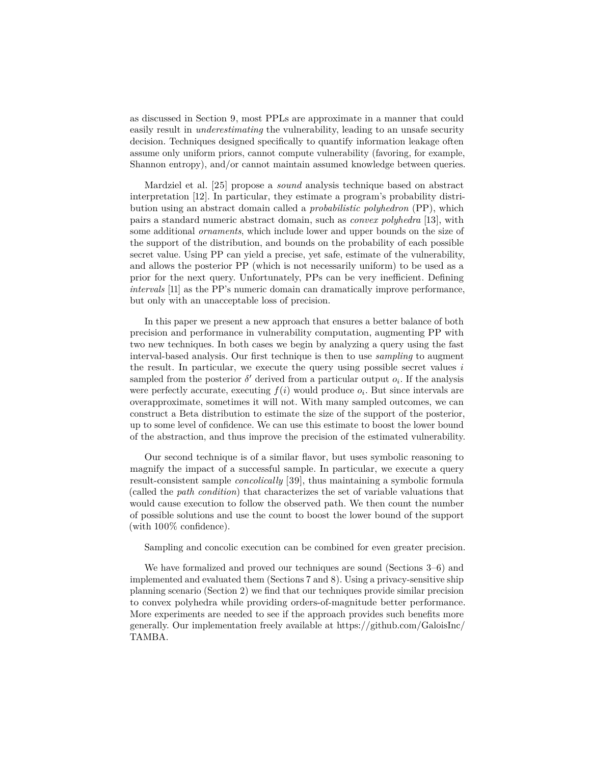as discussed in Section [9,](#page-18-0) most PPLs are approximate in a manner that could easily result in *underestimating* the vulnerability, leading to an unsafe security decision. Techniques designed specifically to quantify information leakage often assume only uniform priors, cannot compute vulnerability (favoring, for example, Shannon entropy), and/or cannot maintain assumed knowledge between queries.

Mardziel et al. [\[25\]](#page-21-2) propose a *sound* analysis technique based on abstract interpretation [\[12\]](#page-20-2). In particular, they estimate a program's probability distribution using an abstract domain called a *probabilistic polyhedron* (PP), which pairs a standard numeric abstract domain, such as *convex polyhedra* [\[13\]](#page-20-3), with some additional *ornaments*, which include lower and upper bounds on the size of the support of the distribution, and bounds on the probability of each possible secret value. Using PP can yield a precise, yet safe, estimate of the vulnerability, and allows the posterior PP (which is not necessarily uniform) to be used as a prior for the next query. Unfortunately, PPs can be very inefficient. Defining *intervals* [\[11\]](#page-20-4) as the PP's numeric domain can dramatically improve performance, but only with an unacceptable loss of precision.

In this paper we present a new approach that ensures a better balance of both precision and performance in vulnerability computation, augmenting PP with two new techniques. In both cases we begin by analyzing a query using the fast interval-based analysis. Our first technique is then to use *sampling* to augment the result. In particular, we execute the query using possible secret values *i* sampled from the posterior  $\delta'$  derived from a particular output  $o_i$ . If the analysis were perfectly accurate, executing  $f(i)$  would produce  $o_i$ . But since intervals are overapproximate, sometimes it will not. With many sampled outcomes, we can construct a Beta distribution to estimate the size of the support of the posterior, up to some level of confidence. We can use this estimate to boost the lower bound of the abstraction, and thus improve the precision of the estimated vulnerability.

Our second technique is of a similar flavor, but uses symbolic reasoning to magnify the impact of a successful sample. In particular, we execute a query result-consistent sample *concolically* [\[39\]](#page-22-1), thus maintaining a symbolic formula (called the *path condition*) that characterizes the set of variable valuations that would cause execution to follow the observed path. We then count the number of possible solutions and use the count to boost the lower bound of the support (with 100% confidence).

Sampling and concolic execution can be combined for even greater precision.

We have formalized and proved our techniques are sound (Sections [3](#page-6-0)[–6\)](#page-11-0) and implemented and evaluated them (Sections [7](#page-14-0) and [8\)](#page-14-1). Using a privacy-sensitive ship planning scenario (Section [2\)](#page-2-0) we find that our techniques provide similar precision to convex polyhedra while providing orders-of-magnitude better performance. More experiments are needed to see if the approach provides such benefits more generally. Our implementation freely available at [https://github.com/GaloisInc/](https://github.com/GaloisInc/TAMBA) [TAMBA.](https://github.com/GaloisInc/TAMBA)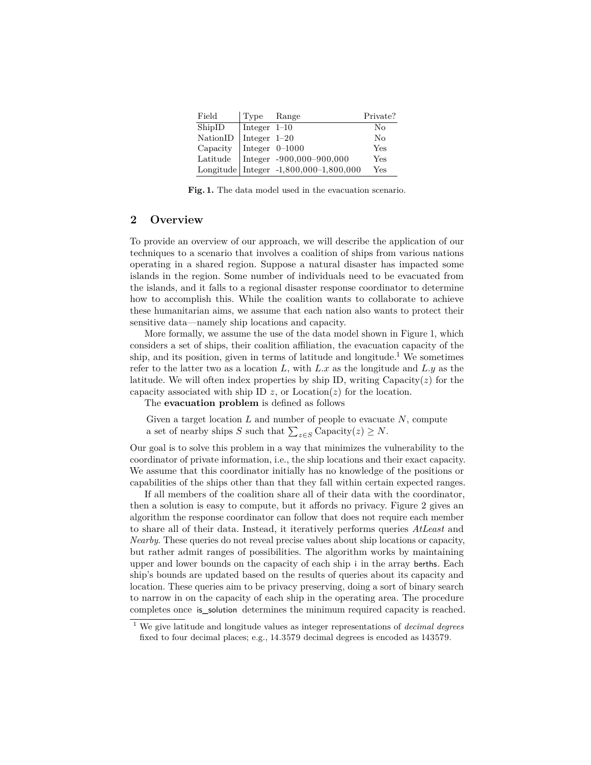<span id="page-2-1"></span>

| Field                       | Type Range     |                                          | Private? |
|-----------------------------|----------------|------------------------------------------|----------|
| ShipID                      | Integer $1-10$ |                                          | $\rm No$ |
| NationID   Integer $1-20$   |                |                                          | $\rm No$ |
| Capacity   Integer $0-1000$ |                |                                          | Yes      |
|                             |                | Latitude   Integer $-900,000 - 900,000$  | Yes      |
|                             |                | Longitude Integer $-1,800,000-1,800,000$ | Yes      |

**Fig. 1.** The data model used in the evacuation scenario.

## <span id="page-2-0"></span>**2 Overview**

To provide an overview of our approach, we will describe the application of our techniques to a scenario that involves a coalition of ships from various nations operating in a shared region. Suppose a natural disaster has impacted some islands in the region. Some number of individuals need to be evacuated from the islands, and it falls to a regional disaster response coordinator to determine how to accomplish this. While the coalition wants to collaborate to achieve these humanitarian aims, we assume that each nation also wants to protect their sensitive data—namely ship locations and capacity.

More formally, we assume the use of the data model shown in Figure [1,](#page-2-1) which considers a set of ships, their coalition affiliation, the evacuation capacity of the ship, and its position, given in terms of latitude and longitude.<sup>[1](#page-2-2)</sup> We sometimes refer to the latter two as a location *L*, with *L.x* as the longitude and *L.y* as the latitude. We will often index properties by ship ID, writing  $\text{Capacity}(z)$  for the capacity associated with ship ID  $z$ , or Location $(z)$  for the location.

The **evacuation problem** is defined as follows

Given a target location *L* and number of people to evacuate *N*, compute a set of nearby ships *S* such that  $\sum_{z \in S}$  Capacity $(z) \ge N$ .

Our goal is to solve this problem in a way that minimizes the vulnerability to the coordinator of private information, i.e., the ship locations and their exact capacity. We assume that this coordinator initially has no knowledge of the positions or capabilities of the ships other than that they fall within certain expected ranges.

If all members of the coalition share all of their data with the coordinator, then a solution is easy to compute, but it affords no privacy. Figure [2](#page-3-0) gives an algorithm the response coordinator can follow that does not require each member to share all of their data. Instead, it iteratively performs queries *AtLeast* and *Nearby*. These queries do not reveal precise values about ship locations or capacity, but rather admit ranges of possibilities. The algorithm works by maintaining upper and lower bounds on the capacity of each ship i in the array berths. Each ship's bounds are updated based on the results of queries about its capacity and location. These queries aim to be privacy preserving, doing a sort of binary search to narrow in on the capacity of each ship in the operating area. The procedure completes once is\_solution determines the minimum required capacity is reached.

<span id="page-2-2"></span><sup>1</sup> We give latitude and longitude values as integer representations of *decimal degrees* fixed to four decimal places; e.g., 14.3579 decimal degrees is encoded as 143579.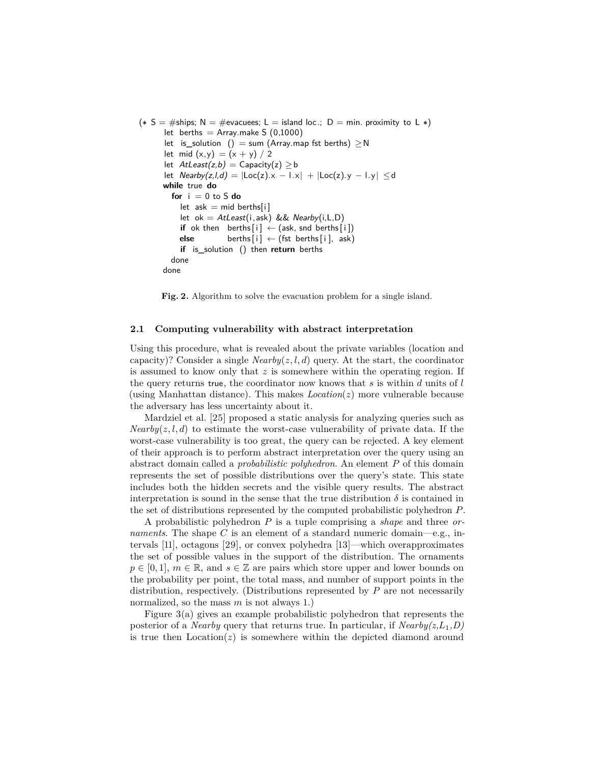```
(* S = #ships; N = #evacuees; L = island loc.; D = min. proximity to L *)let berths = Array.make S (0,1000)
      let is_solution () = sum (Array.map fst berths) \geq Nlet mid (x,y) = (x + y) / 2let AtLeast(z,b) = Capacity(z) \geq blet Nearby(z,l,d) = |Loc(z).x - Lx| + |Loc(z).y - Ly| \le dwhile true do
        for i = 0 to S do
          let ask = mid berths[i]
          let ok = AtLeast(i,ask) & & Nearby(i, L, D)
          if ok then berths[i] \leftarrow (ask, \text{snd } \text{berths}[i])else berths[i] ← (fst berths[i], ask)
          if is_solution () then return berths
        done
      done
```
**Fig. 2.** Algorithm to solve the evacuation problem for a single island.

#### **2.1 Computing vulnerability with abstract interpretation**

Using this procedure, what is revealed about the private variables (location and capacity)? Consider a single  $Nearby(z, l, d)$  query. At the start, the coordinator is assumed to know only that *z* is somewhere within the operating region. If the query returns true, the coordinator now knows that *s* is within *d* units of *l* (using Manhattan distance). This makes *Location*(*z*) more vulnerable because the adversary has less uncertainty about it.

Mardziel et al. [\[25\]](#page-21-2) proposed a static analysis for analyzing queries such as *Nearby* $(z, l, d)$  to estimate the worst-case vulnerability of private data. If the worst-case vulnerability is too great, the query can be rejected. A key element of their approach is to perform abstract interpretation over the query using an abstract domain called a *probabilistic polyhedron*. An element *P* of this domain represents the set of possible distributions over the query's state. This state includes both the hidden secrets and the visible query results. The abstract interpretation is sound in the sense that the true distribution  $\delta$  is contained in the set of distributions represented by the computed probabilistic polyhedron *P*.

A probabilistic polyhedron *P* is a tuple comprising a *shape* and three *ornaments*. The shape *C* is an element of a standard numeric domain—e.g., intervals [\[11\]](#page-20-4), octagons [\[29\]](#page-21-4), or convex polyhedra [\[13\]](#page-20-3)—which overapproximates the set of possible values in the support of the distribution. The ornaments  $p \in [0, 1], m \in \mathbb{R}$ , and  $s \in \mathbb{Z}$  are pairs which store upper and lower bounds on the probability per point, the total mass, and number of support points in the distribution, respectively. (Distributions represented by *P* are not necessarily normalized, so the mass *m* is not always 1.)

Figure [3\(](#page-5-0)a) gives an example probabilistic polyhedron that represents the posterior of a *Nearby* query that returns true. In particular, if  $Nearby(z, L_1, D)$ is true then  $Location(z)$  is somewhere within the depicted diamond around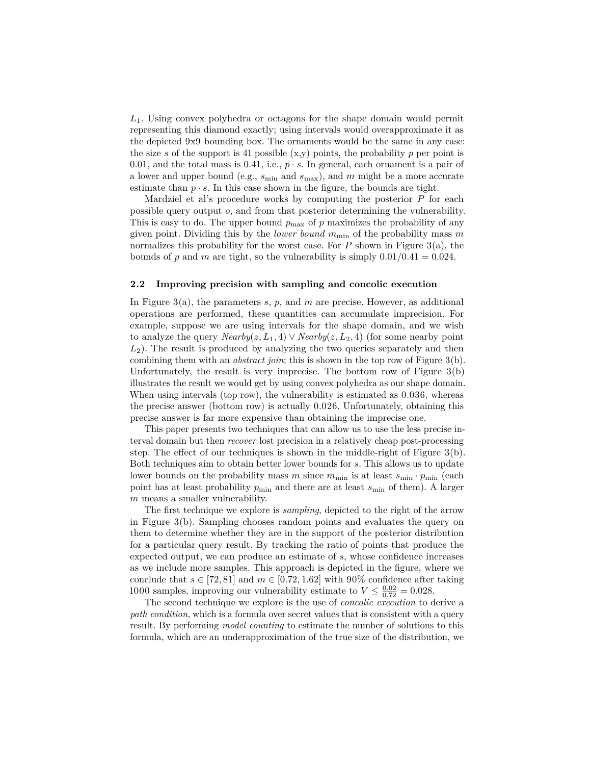*L*1. Using convex polyhedra or octagons for the shape domain would permit representing this diamond exactly; using intervals would overapproximate it as the depicted 9x9 bounding box. The ornaments would be the same in any case: the size *s* of the support is 41 possible  $(x,y)$  points, the probability *p* per point is 0.01, and the total mass is 0.41, i.e.,  $p \cdot s$ . In general, each ornament is a pair of a lower and upper bound (e.g., *s*min and *s*max), and *m* might be a more accurate estimate than  $p \cdot s$ . In this case shown in the figure, the bounds are tight.

Mardziel et al's procedure works by computing the posterior *P* for each possible query output *o*, and from that posterior determining the vulnerability. This is easy to do. The upper bound  $p_{\text{max}}$  of  $p$  maximizes the probability of any given point. Dividing this by the *lower bound*  $m_{\text{min}}$  of the probability mass  $m$ normalizes this probability for the worst case. For  $P$  shown in Figure [3\(](#page-5-0)a), the bounds of p and m are tight, so the vulnerability is simply  $0.01/0.41 = 0.024$ .

#### <span id="page-4-0"></span>**2.2 Improving precision with sampling and concolic execution**

In Figure [3\(](#page-5-0)a), the parameters *s*, *p*, and *m* are precise. However, as additional operations are performed, these quantities can accumulate imprecision. For example, suppose we are using intervals for the shape domain, and we wish to analyze the query  $Nearby(z, L_1, 4) \vee Nearby(z, L_2, 4)$  (for some nearby point *L*2). The result is produced by analyzing the two queries separately and then combining them with an *abstract join*; this is shown in the top row of Figure [3\(](#page-5-0)b). Unfortunately, the result is very imprecise. The bottom row of Figure [3\(](#page-5-0)b) illustrates the result we would get by using convex polyhedra as our shape domain. When using intervals (top row), the vulnerability is estimated as 0.036, whereas the precise answer (bottom row) is actually 0.026. Unfortunately, obtaining this precise answer is far more expensive than obtaining the imprecise one.

This paper presents two techniques that can allow us to use the less precise interval domain but then *recover* lost precision in a relatively cheap post-processing step. The effect of our techniques is shown in the middle-right of Figure  $3(b)$  $3(b)$ . Both techniques aim to obtain better lower bounds for *s*. This allows us to update lower bounds on the probability mass  $m$  since  $m_{\text{min}}$  is at least  $s_{\text{min}} \cdot p_{\text{min}}$  (each point has at least probability  $p_{\min}$  and there are at least  $s_{\min}$  of them). A larger *m* means a smaller vulnerability.

The first technique we explore is *sampling*, depicted to the right of the arrow in Figure [3\(](#page-5-0)b). Sampling chooses random points and evaluates the query on them to determine whether they are in the support of the posterior distribution for a particular query result. By tracking the ratio of points that produce the expected output, we can produce an estimate of *s*, whose confidence increases as we include more samples. This approach is depicted in the figure, where we conclude that  $s \in [72, 81]$  and  $m \in [0.72, 1.62]$  with 90% confidence after taking 1000 samples, improving our vulnerability estimate to  $V \leq \frac{0.02}{0.72} = 0.028$ .

The second technique we explore is the use of *concolic execution* to derive a *path condition*, which is a formula over secret values that is consistent with a query result. By performing *model counting* to estimate the number of solutions to this formula, which are an underapproximation of the true size of the distribution, we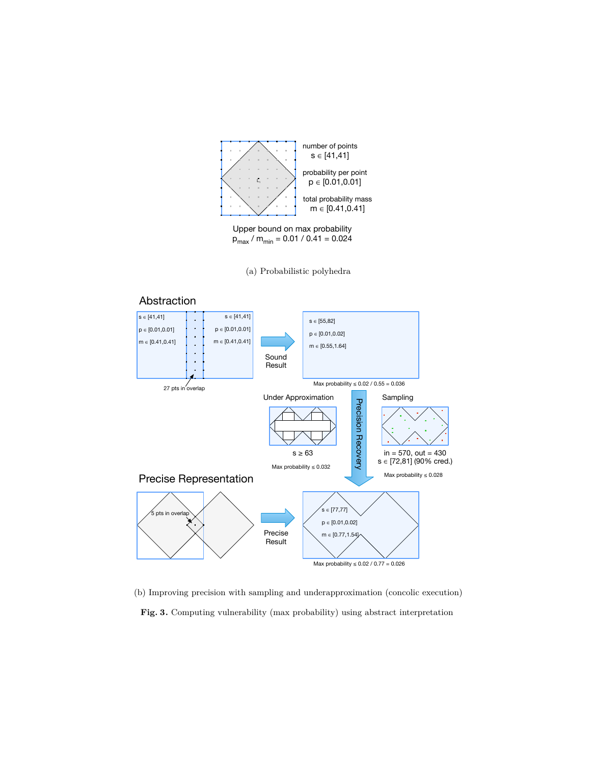<span id="page-5-0"></span>

Upper bound on max probability  $p_{max}$  /  $m_{min}$  = 0.01 / 0.41 = 0.024

(a) Probabilistic polyhedra



(b) Improving precision with sampling and underapproximation (concolic execution)

**Fig. 3.** Computing vulnerability (max probability) using abstract interpretation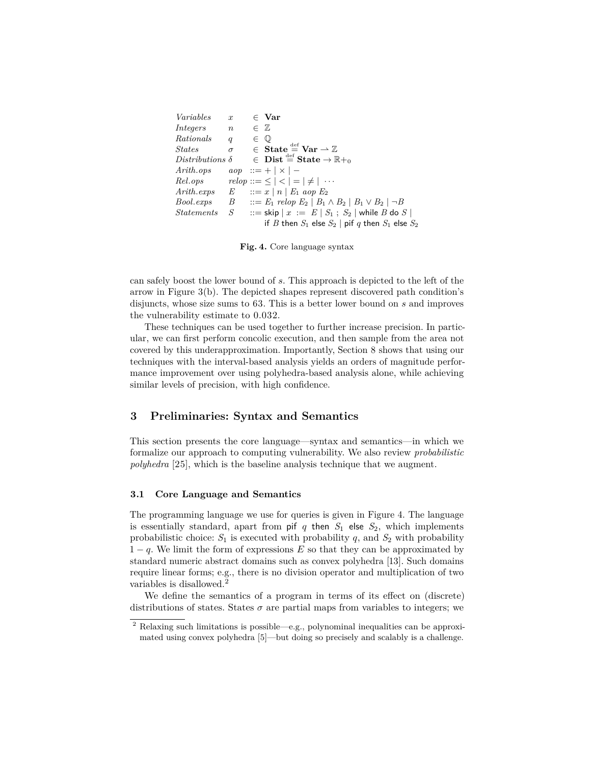```
Variables x ∈ Var
Integers n \in \mathbb{Z}Rationals q \in \mathbb{Q}States \qquad \sigma \qquad \in \textbf{State} \stackrel{\text{def}}{=} \textbf{Var} \rightarrow \mathbb{Z}Distributions δ
                                \in Dist \stackrel{\text{def}}{=} State \rightarrow \mathbb{R}_{0}Arith.ops \qquad aop \; ::= + \; | \times | -Rel.ops relop ::= \leq | < | = | \neq | \cdotsArith.exps E ::= x | n | E_1 aop E_2<br>Bool.exps B ::= E_1 relop E_2 | B_1B \therefore iE<sub>1</sub> relop E<sub>2</sub> | B<sub>1</sub> ∧ B<sub>2</sub> | B<sub>1</sub> ∨ B<sub>2</sub> | ¬B
Statements S ::= \textsf{skip} \mid x := E \mid S_1 ; S_2 \mid \textsf{while } B \textsf{ do } S \midif B then S_1 else S_2 | pif q then S_1 else S_2
```
**Fig. 4.** Core language syntax

can safely boost the lower bound of *s*. This approach is depicted to the left of the arrow in Figure [3\(](#page-5-0)b). The depicted shapes represent discovered path condition's disjuncts, whose size sums to 63. This is a better lower bound on *s* and improves the vulnerability estimate to 0.032.

These techniques can be used together to further increase precision. In particular, we can first perform concolic execution, and then sample from the area not covered by this underapproximation. Importantly, Section [8](#page-14-1) shows that using our techniques with the interval-based analysis yields an orders of magnitude performance improvement over using polyhedra-based analysis alone, while achieving similar levels of precision, with high confidence.

## <span id="page-6-0"></span>**3 Preliminaries: Syntax and Semantics**

This section presents the core language—syntax and semantics—in which we formalize our approach to computing vulnerability. We also review *probabilistic polyhedra* [\[25\]](#page-21-2), which is the baseline analysis technique that we augment.

## **3.1 Core Language and Semantics**

The programming language we use for queries is given in Figure [4.](#page-6-1) The language is essentially standard, apart from pif  $q$  then  $S_1$  else  $S_2$ , which implements probabilistic choice:  $S_1$  is executed with probability  $q$ , and  $S_2$  with probability 1 − *q*. We limit the form of expressions *E* so that they can be approximated by standard numeric abstract domains such as convex polyhedra [\[13\]](#page-20-3). Such domains require linear forms; e.g., there is no division operator and multiplication of two variables is disallowed.[2](#page-6-2)

We define the semantics of a program in terms of its effect on (discrete) distributions of states. States  $\sigma$  are partial maps from variables to integers; we

<span id="page-6-2"></span><sup>2</sup> Relaxing such limitations is possible—e.g., polynominal inequalities can be approximated using convex polyhedra [\[5\]](#page-20-5)—but doing so precisely and scalably is a challenge.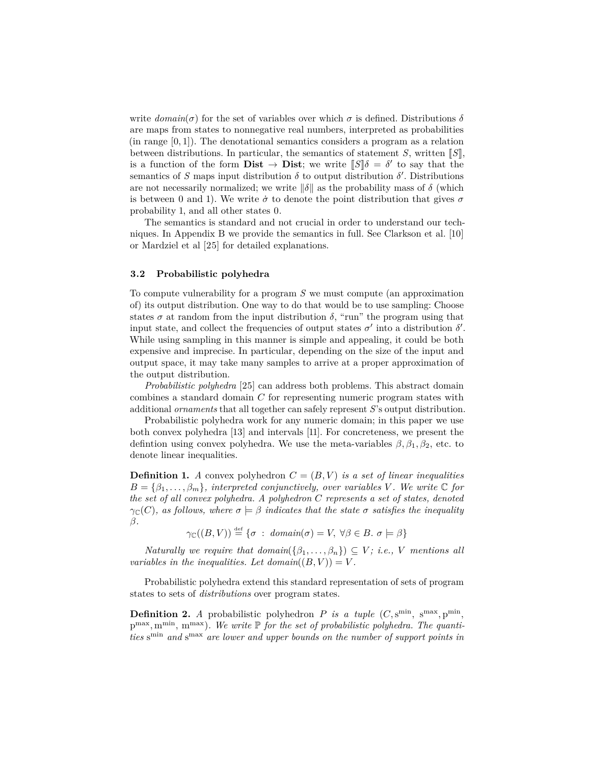write  $domain(\sigma)$  for the set of variables over which  $\sigma$  is defined. Distributions  $\delta$ are maps from states to nonnegative real numbers, interpreted as probabilities (in range [0*,* 1]). The denotational semantics considers a program as a relation between distributions. In particular, the semantics of statement *S*, written  $\llbracket S \rrbracket$ , is a function of the form **Dist**  $\rightarrow$  **Dist**; we write  $\llbracket S \rrbracket \delta = \delta'$  to say that the semantics of *S* maps input distribution  $\delta$  to output distribution  $\delta'$ . Distributions are not necessarily normalized; we write  $\|\delta\|$  as the probability mass of  $\delta$  (which is between 0 and 1). We write  $\dot{\sigma}$  to denote the point distribution that gives  $\sigma$ probability 1, and all other states 0.

The semantics is standard and not crucial in order to understand our techniques. In Appendix [B](#page-23-0) we provide the semantics in full. See Clarkson et al. [\[10\]](#page-20-0) or Mardziel et al [\[25\]](#page-21-2) for detailed explanations.

#### **3.2 Probabilistic polyhedra**

To compute vulnerability for a program *S* we must compute (an approximation of) its output distribution. One way to do that would be to use sampling: Choose states  $\sigma$  at random from the input distribution  $\delta$ , "run" the program using that input state, and collect the frequencies of output states  $\sigma'$  into a distribution  $\delta'$ . While using sampling in this manner is simple and appealing, it could be both expensive and imprecise. In particular, depending on the size of the input and output space, it may take many samples to arrive at a proper approximation of the output distribution.

*Probabilistic polyhedra* [\[25\]](#page-21-2) can address both problems. This abstract domain combines a standard domain *C* for representing numeric program states with additional *ornaments* that all together can safely represent *S*'s output distribution.

Probabilistic polyhedra work for any numeric domain; in this paper we use both convex polyhedra [\[13\]](#page-20-3) and intervals [\[11\]](#page-20-4). For concreteness, we present the defintion using convex polyhedra. We use the meta-variables  $\beta$ ,  $\beta_1$ ,  $\beta_2$ , etc. to denote linear inequalities.

**Definition 1.** *A* convex polyhedron  $C = (B, V)$  *is a set of linear inequalities*  $B = \{\beta_1, \ldots, \beta_m\}$ *, interpreted conjunctively, over variables V. We write*  $\mathbb{C}$  *for the set of all convex polyhedra. A polyhedron C represents a set of states, denoted γ*<sub>C</sub>(*C*)*, as follows, where*  $σ$   $\models$  *β indicates that the state*  $σ$  *satisfies the inequality β.*

 $\gamma_{\mathbb{C}}((B, V)) \stackrel{\text{def}}{=} {\sigma : domain(\sigma) = V, \forall \beta \in B, \sigma \models \beta}$ 

*Naturally we require that*  $domain({\beta_1, ..., \beta_n}) \subseteq V$ *; <i>i.e.*, *V mentions all variables in the inequalities. Let domain* $((B, V)) = V$ .

Probabilistic polyhedra extend this standard representation of sets of program states to sets of *distributions* over program states.

**Definition 2.** *A* probabilistic polyhedron *P is a tuple*  $(C, s^{\min}, s^{\max}, p^{\min}, q^{\min})$ p<sup>max</sup>, m<sup>min</sup>, m<sup>max</sup>). We write P for the set of probabilistic polyhedra. The quantities s<sup>min</sup> and s<sup>max</sup> are lower and upper bounds on the number of support points in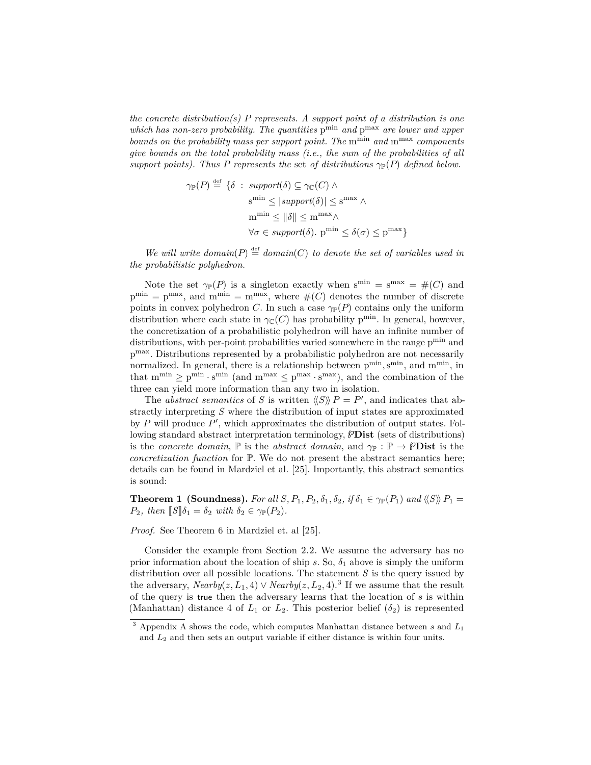*the concrete distribution(s) P represents. A support point of a distribution is one* which has non-zero probability. The quantities  $p^{min}$  and  $p^{max}$  are lower and upper *bounds on the probability mass per support point. The* m<sup>min</sup> and m<sup>max</sup> *components give bounds on the total probability mass (i.e., the sum of the probabilities of all support points). Thus P represents the* set *of distributions*  $\gamma_{\mathbb{P}}(P)$  *defined below.* 

$$
\gamma_{\mathbb{P}}(P) \stackrel{\text{def}}{=} \{ \delta : \text{ support}(\delta) \subseteq \gamma_{\mathbb{C}}(C) \land \n\mathbf{s}^{\min} \le |\text{support}(\delta)| \le \mathbf{s}^{\max} \land \n\mathbf{m}^{\min} \le ||\delta|| \le \mathbf{m}^{\max} \land \n\forall \sigma \in \text{support}(\delta). \mathbf{p}^{\min} \le \delta(\sigma) \le \mathbf{p}^{\max} \}
$$

We will write  $domain(P) \stackrel{\text{def}}{=} domain(C)$  to denote the set of variables used in *the probabilistic polyhedron.*

Note the set  $\gamma_{\mathbb{P}}(P)$  is a singleton exactly when  $s^{\min} = s^{\max} = \#(C)$  and  $p^{\min} = p^{\max}$ , and  $m^{\min} = m^{\max}$ , where  $\#(C)$  denotes the number of discrete points in convex polyhedron *C*. In such a case  $\gamma_{\mathbb{P}}(P)$  contains only the uniform distribution where each state in  $\gamma_{\mathbb{C}}(C)$  has probability p<sup>min</sup>. In general, however, the concretization of a probabilistic polyhedron will have an infinite number of distributions, with per-point probabilities varied somewhere in the range  $p^{\min}$  and p max. Distributions represented by a probabilistic polyhedron are not necessarily normalized. In general, there is a relationship between  $p^{min}$ ,  $s^{min}$ , and  $m^{min}$ , in that  $m^{min} \geq p^{min} \cdot s^{min}$  (and  $m^{max} \leq p^{max} \cdot s^{max}$ ), and the combination of the three can yield more information than any two in isolation.

The *abstract semantics* of *S* is written  $\langle\langle S \rangle\rangle$  *P* = *P*<sup>'</sup>, and indicates that abstractly interpreting *S* where the distribution of input states are approximated by *P* will produce *P'*, which approximates the distribution of output states. Following standard abstract interpretation terminology,  $\beta$ Dist (sets of distributions) is the *concrete domain*,  $\mathbb P$  is the *abstract domain*, and  $\gamma_{\mathbb P} : \mathbb P \to \mathscr P$ **Dist** is the *concretization function* for P. We do not present the abstract semantics here; details can be found in Mardziel et al. [\[25\]](#page-21-2). Importantly, this abstract semantics is sound:

**Theorem 1 (Soundness).** For all *S*,  $P_1$ ,  $P_2$ ,  $\delta_1$ ,  $\delta_2$ , if  $\delta_1 \in \gamma_P(P_1)$  and  $\langle\langle S \rangle\rangle P_1 =$ *P*<sub>2</sub>*, then*  $\llbracket S \rrbracket \delta_1 = \delta_2$  *with*  $\delta_2 \in \gamma_{\mathbb{P}}(P_2)$ *.* 

*Proof.* See Theorem 6 in Mardziel et. al [\[25\]](#page-21-2).

Consider the example from Section [2.2.](#page-4-0) We assume the adversary has no prior information about the location of ship  $s$ . So,  $\delta_1$  above is simply the uniform distribution over all possible locations. The statement *S* is the query issued by the adversary,  $Nearby(z, L_1, 4) \vee Nearby(z, L_2, 4)$ .<sup>[3](#page-8-0)</sup> If we assume that the result of the query is true then the adversary learns that the location of *s* is within (Manhattan) distance 4 of  $L_1$  or  $L_2$ . This posterior belief  $(\delta_2)$  is represented

<span id="page-8-0"></span><sup>3</sup> Appendix [A](#page-22-2) shows the code, which computes Manhattan distance between *s* and *L*<sup>1</sup> and *L*<sup>2</sup> and then sets an output variable if either distance is within four units.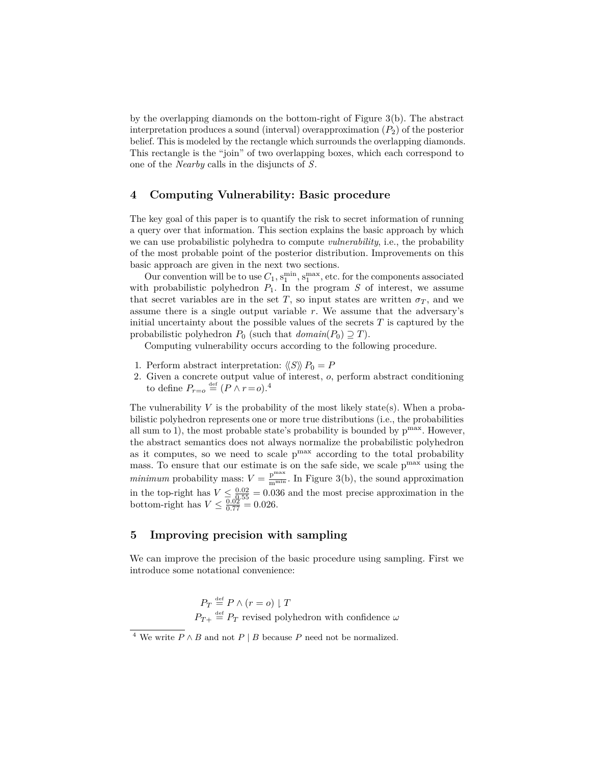by the overlapping diamonds on the bottom-right of Figure [3\(](#page-5-0)b). The abstract interpretation produces a sound (interval) overapproximation (*P*2) of the posterior belief. This is modeled by the rectangle which surrounds the overlapping diamonds. This rectangle is the "join" of two overlapping boxes, which each correspond to one of the *Nearby* calls in the disjuncts of *S*.

## <span id="page-9-2"></span>**4 Computing Vulnerability: Basic procedure**

The key goal of this paper is to quantify the risk to secret information of running a query over that information. This section explains the basic approach by which we can use probabilistic polyhedra to compute *vulnerability*, i.e., the probability of the most probable point of the posterior distribution. Improvements on this basic approach are given in the next two sections.

Our convention will be to use  $C_1$ ,  $s_1^{\min}$ ,  $s_1^{\max}$ , etc. for the components associated with probabilistic polyhedron  $P_1$ . In the program  $S$  of interest, we assume that secret variables are in the set *T*, so input states are written  $\sigma_T$ , and we assume there is a single output variable *r*. We assume that the adversary's initial uncertainty about the possible values of the secrets *T* is captured by the probabilistic polyhedron  $P_0$  (such that  $domain(P_0) \supseteq T)$ .

Computing vulnerability occurs according to the following procedure.

- 1. Perform abstract interpretation:  $\langle\langle S \rangle\rangle P_0 = P$
- 2. Given a concrete output value of interest, *o*, perform abstract conditioning to define  $P_{r=o} \stackrel{\text{def}}{=} (P \wedge r = o).$ <sup>[4](#page-9-0)</sup>

The vulnerability  $V$  is the probability of the most likely state(s). When a probabilistic polyhedron represents one or more true distributions (i.e., the probabilities all sum to 1), the most probable state's probability is bounded by  $p^{max}$ . However, the abstract semantics does not always normalize the probabilistic polyhedron as it computes, so we need to scale  $p^{max}$  according to the total probability mass. To ensure that our estimate is on the safe side, we scale  $p^{\max}$  using the *minimum* probability mass:  $V = \frac{p^{max}}{m^{min}}$ . In Figure [3\(](#page-5-0)b), the sound approximation in the top-right has  $V \leq \frac{0.02}{0.025} = 0.036$  and the most precise approximation in the bottom-right has  $V \leq \frac{0.02}{0.77} = 0.026$ .

## <span id="page-9-1"></span>**5 Improving precision with sampling**

We can improve the precision of the basic procedure using sampling. First we introduce some notational convenience:

> $P_T \stackrel{\text{def}}{=} P \wedge (r = o) \downharpoonright T$  $P_{T+} \stackrel{\text{def}}{=} P_T$  revised polyhedron with confidence  $\omega$

<span id="page-9-0"></span> $\overline{A}$ <sup>4</sup> We write  $P \wedge B$  and not  $P | B$  because  $P$  need not be normalized.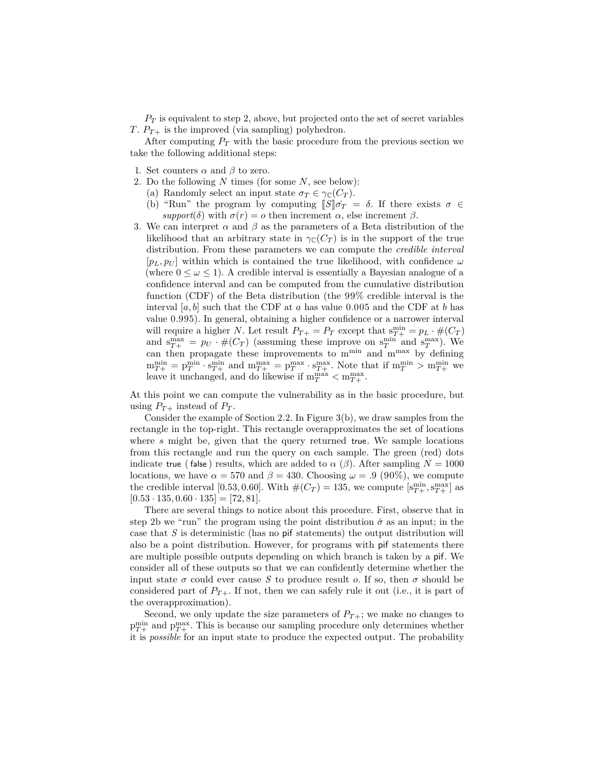*P<sup>T</sup>* is equivalent to step 2, above, but projected onto the set of secret variables *T*.  $P_{T+}$  is the improved (via sampling) polyhedron.

After computing  $P_T$  with the basic procedure from the previous section we take the following additional steps:

- 1. Set counters  $\alpha$  and  $\beta$  to zero.
- <span id="page-10-0"></span>2. Do the following *N* times (for some *N*, see below):
	- (a) Randomly select an input state  $\sigma_T \in \gamma_{\mathbb{C}}(C_T)$ .
	- (b) "Run" the program by computing  $\llbracket S \rrbracket \dot{\sigma}_T = \delta$ . If there exists  $\sigma \in$ *support*(*δ*) with  $σ(r) = ρ$  then increment *α*, else increment *β*.
- 3. We can interpret  $\alpha$  and  $\beta$  as the parameters of a Beta distribution of the likelihood that an arbitrary state in  $\gamma_{\mathbb{C}}(C_T)$  is in the support of the true distribution. From these parameters we can compute the *credible interval*  $[p_L, p_U]$  within which is contained the true likelihood, with confidence  $\omega$ (where  $0 \leq \omega \leq 1$ ). A credible interval is essentially a Bayesian analogue of a confidence interval and can be computed from the cumulative distribution function (CDF) of the Beta distribution (the 99% credible interval is the interval  $[a, b]$  such that the CDF at  $a$  has value 0.005 and the CDF at  $b$  has value 0.995). In general, obtaining a higher confidence or a narrower interval will require a higher *N*. Let result  $P_{T+} = P_T$  except that  $s_{T+}^{\min} = p_L \cdot \#(C_T)$ and  $s_{T+}^{\max} = p_U \cdot #(C_T)$  (assuming these improve on  $s_T^{\min}$  and  $s_T^{\max}$ ). We can then propagate these improvements to  $\lim_{m \to \infty} \frac{1}{m} \max_{m \geq 0} \frac{1}{m}$  by defining  $m_{T+}^{\min} = p_T^{\min} \cdot s_{T+}^{\min}$  and  $m_{T+}^{\max} = p_T^{\max} \cdot s_{T+}^{\max}$ . Note that if  $m_T^{\min} > m_{T+}^{\min}$  we leave it unchanged, and do likewise if  $m_T^{max} < m_{T+}^{max}$ .

At this point we can compute the vulnerability as in the basic procedure, but using  $P_{T+}$  instead of  $P_T$ .

Consider the example of Section [2.2.](#page-4-0) In Figure [3\(](#page-5-0)b), we draw samples from the rectangle in the top-right. This rectangle overapproximates the set of locations where *s* might be, given that the query returned true. We sample locations from this rectangle and run the query on each sample. The green (red) dots indicate true (false) results, which are added to  $\alpha$  ( $\beta$ ). After sampling  $N = 1000$ locations, we have  $\alpha = 570$  and  $\beta = 430$ . Choosing  $\omega = .9$  (90%), we compute the credible interval [0.53, 0.60]. With  $#(C_T) = 135$ , we compute  $[s_{T+}^{\min}, s_{T+}^{\max}]$  as  $[0.53 \cdot 135, 0.60 \cdot 135] = [72, 81].$ 

There are several things to notice about this procedure. First, observe that in step [2b](#page-10-0) we "run" the program using the point distribution  $\dot{\sigma}$  as an input; in the case that *S* is deterministic (has no pif statements) the output distribution will also be a point distribution. However, for programs with pif statements there are multiple possible outputs depending on which branch is taken by a pif. We consider all of these outputs so that we can confidently determine whether the input state  $\sigma$  could ever cause *S* to produce result *o*. If so, then  $\sigma$  should be considered part of  $P_{T+}$ . If not, then we can safely rule it out (i.e., it is part of the overapproximation).

Second, we only update the size parameters of  $P_{T+}$ ; we make no changes to  $p_{T+}^{\min}$  and  $p_{T+}^{\max}$ . This is because our sampling procedure only determines whether it is *possible* for an input state to produce the expected output. The probability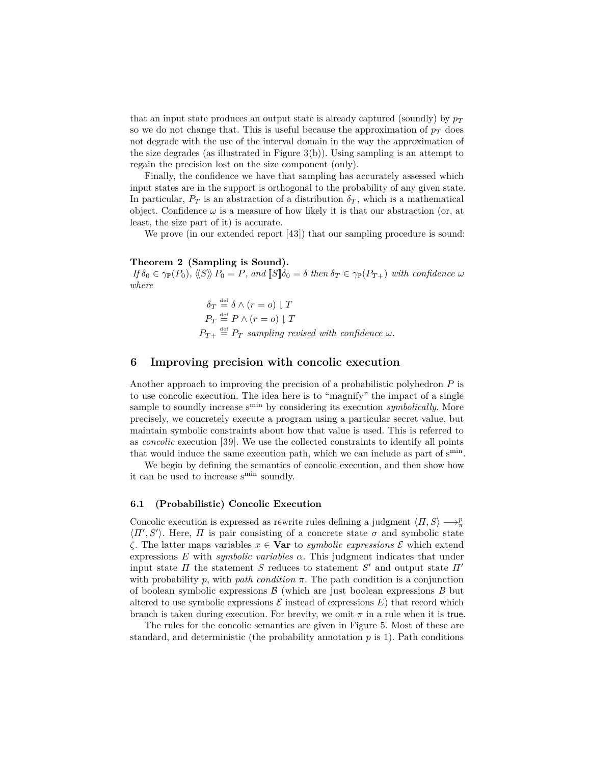that an input state produces an output state is already captured (soundly) by  $p_T$ so we do not change that. This is useful because the approximation of  $p<sub>T</sub>$  does not degrade with the use of the interval domain in the way the approximation of the size degrades (as illustrated in Figure [3\(](#page-5-0)b)). Using sampling is an attempt to regain the precision lost on the size component (only).

Finally, the confidence we have that sampling has accurately assessed which input states are in the support is orthogonal to the probability of any given state. In particular,  $P_T$  is an abstraction of a distribution  $\delta_T$ , which is a mathematical object. Confidence  $\omega$  is a measure of how likely it is that our abstraction (or, at least, the size part of it) is accurate.

We prove (in our extended report [\[43\]](#page-22-3)) that our sampling procedure is sound:

#### **Theorem 2 (Sampling is Sound).**

 $I f \delta_0 \in \gamma_{\mathbb{P}}(P_0)$ ,  $\langle\langle S \rangle\rangle P_0 = P$ , and  $\llbracket S \rrbracket \delta_0 = \delta$  then  $\delta_T \in \gamma_{\mathbb{P}}(P_{T+})$  with confidence  $\omega$ *where*

$$
\delta_T \stackrel{\text{def}}{=} \delta \wedge (r = o) \upharpoonright T
$$
\n
$$
P_T \stackrel{\text{def}}{=} P \wedge (r = o) \upharpoonright T
$$
\n
$$
P_{T+} \stackrel{\text{def}}{=} P_T \text{ sampling revised with confidence } \omega.
$$

## <span id="page-11-0"></span>**6 Improving precision with concolic execution**

Another approach to improving the precision of a probabilistic polyhedron *P* is to use concolic execution. The idea here is to "magnify" the impact of a single sample to soundly increase s<sup>min</sup> by considering its execution *symbolically*. More precisely, we concretely execute a program using a particular secret value, but maintain symbolic constraints about how that value is used. This is referred to as *concolic* execution [\[39\]](#page-22-1). We use the collected constraints to identify all points that would induce the same execution path, which we can include as part of s<sup>min</sup>.

We begin by defining the semantics of concolic execution, and then show how it can be used to increase s<sup>min</sup> soundly.

#### **6.1 (Probabilistic) Concolic Execution**

Concolic execution is expressed as rewrite rules defining a judgment  $\langle \Pi, S \rangle \longrightarrow^p_{\pi}$  $\langle \Pi', S' \rangle$ . Here,  $\Pi$  is pair consisting of a concrete state  $\sigma$  and symbolic state *ζ*. The latter maps variables *x* ∈ **Var** to *symbolic expressions* E which extend expressions  $E$  with *symbolic variables*  $\alpha$ . This judgment indicates that under input state *Π* the statement *S* reduces to statement *S* ′ and output state *Π*′ with probability  $p$ , with *path condition*  $\pi$ . The path condition is a conjunction of boolean symbolic expressions  $\beta$  (which are just boolean expressions  $B$  but altered to use symbolic expressions  $\mathcal E$  instead of expressions  $E$ ) that record which branch is taken during execution. For brevity, we omit  $\pi$  in a rule when it is true.

The rules for the concolic semantics are given in Figure [5.](#page-12-0) Most of these are standard, and deterministic (the probability annotation  $p$  is 1). Path conditions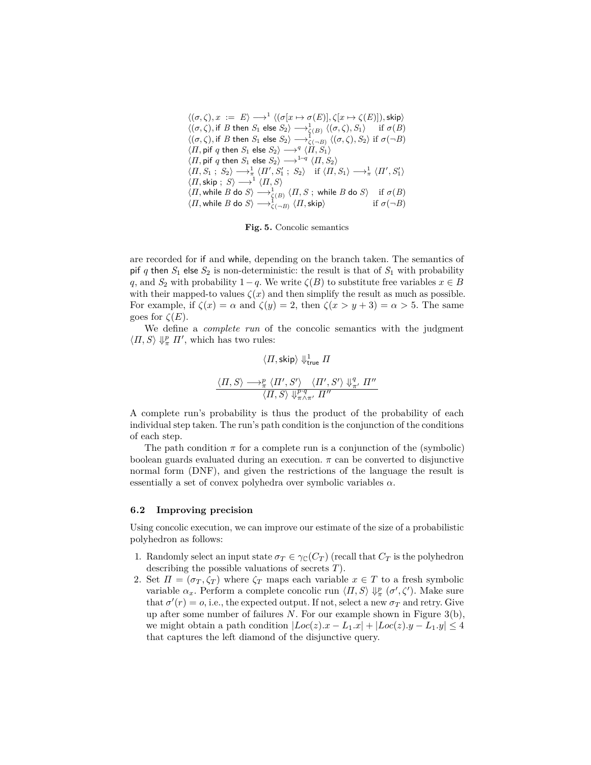<span id="page-12-0"></span> $\langle (\sigma, \zeta), x \rangle := E \rangle \longrightarrow^1 \langle (\sigma[x \mapsto \sigma(E)], \zeta[x \mapsto \zeta(E)] \rangle, \text{skip} \rangle$  $\langle (\sigma, \zeta), \text{if } B \text{ then } S_1 \text{ else } S_2 \rangle \longrightarrow_{\zeta(B)}^1 \langle (\sigma, \zeta), S_1 \rangle \quad \text{ if } \sigma(B)$  $\langle (\sigma, \zeta), \text{if } B \text{ then } S_1 \text{ else } S_2 \rangle \longrightarrow_{\zeta(-B)}^1 \langle (\sigma, \zeta), S_2 \rangle \text{ if } \sigma(\neg B)$  $\langle \Pi, \mathsf{pif}\ q \ \mathsf{then}\ S_1\ \mathsf{else}\ S_2\rangle \longrightarrow^q \langle \hat{\Pi}, S_1\rangle$  $\langle \Pi, \mathsf{pif}\ q \ \mathsf{then}\ S_1 \ \mathsf{else}\ S_2 \rangle \longrightarrow^{1-q} \langle \Pi, S_2 \rangle$  $\langle \Pi, S_1; S_2 \rangle \longrightarrow_{\pi}^1 \langle \Pi', S_1'; S_2 \rangle \text{ if } \langle \Pi, S_1 \rangle \longrightarrow_{\pi}^1 \langle \Pi', S_1' \rangle$  $\langle \Pi, \mathsf{skip} \, ; \, \, S \rangle \longrightarrow^1 \langle \Pi, S \rangle$  $\langle \Pi, \textsf{while } B \textsf{ do } S \rangle \longrightarrow_{\zeta(B)}^1 \langle \Pi, S \ ; \textsf{ while } B \textsf{ do } S \rangle \quad \text{ if } \sigma(B)$  $\langle \Pi, \text{while } B \text{ do } S \rangle \longrightarrow_{\zeta(-B)}^{1} \langle \Pi, \text{skip} \rangle$  if  $\sigma(\neg B)$ 

**Fig. 5.** Concolic semantics

are recorded for if and while, depending on the branch taken. The semantics of pif *q* then  $S_1$  else  $S_2$  is non-deterministic: the result is that of  $S_1$  with probability *q*, and *S*<sub>2</sub> with probability 1−*q*. We write  $\zeta(B)$  to substitute free variables  $x \in B$ with their mapped-to values  $\zeta(x)$  and then simplify the result as much as possible. For example, if  $\zeta(x) = \alpha$  and  $\zeta(y) = 2$ , then  $\zeta(x > y + 3) = \alpha > 5$ . The same goes for  $\zeta(E)$ .

We define a *complete run* of the concolic semantics with the judgment  $\langle \Pi, S \rangle \Downarrow_{\pi}^p \Pi'$ , which has two rules:

$$
\langle \Pi, \textsf{skip} \rangle \Downarrow^1_{\textsf{true}} \Pi
$$

$$
\langle \Pi, S \rangle \longrightarrow^p_{\pi} \langle \Pi', S' \rangle \langle \Pi', S' \rangle \Downarrow^q_{\pi'} \Pi''
$$

$$
\langle \Pi, S \rangle \Downarrow^p_{\pi \wedge \pi'} \Pi''
$$

A complete run's probability is thus the product of the probability of each individual step taken. The run's path condition is the conjunction of the conditions of each step.

The path condition  $\pi$  for a complete run is a conjunction of the (symbolic) boolean guards evaluated during an execution.  $\pi$  can be converted to disjunctive normal form (DNF), and given the restrictions of the language the result is essentially a set of convex polyhedra over symbolic variables *α*.

#### **6.2 Improving precision**

Using concolic execution, we can improve our estimate of the size of a probabilistic polyhedron as follows:

- 1. Randomly select an input state  $\sigma_T \in \gamma_{\mathbb{C}}(C_T)$  (recall that  $C_T$  is the polyhedron describing the possible valuations of secrets *T*).
- 2. Set  $\Pi = (\sigma_T, \zeta_T)$  where  $\zeta_T$  maps each variable  $x \in T$  to a fresh symbolic variable  $\alpha_x$ . Perform a complete concolic run  $\langle \Pi, S \rangle \Downarrow_{\pi}^p (\sigma', \zeta')$ . Make sure that  $\sigma'(r) = o$ , i.e., the expected output. If not, select a new  $\sigma_T$  and retry. Give up after some number of failures *N*. For our example shown in Figure [3\(](#page-5-0)b), we might obtain a path condition  $|Loc(z).x - L_1.x| + |Loc(z).y - L_1.y| \leq 4$ that captures the left diamond of the disjunctive query.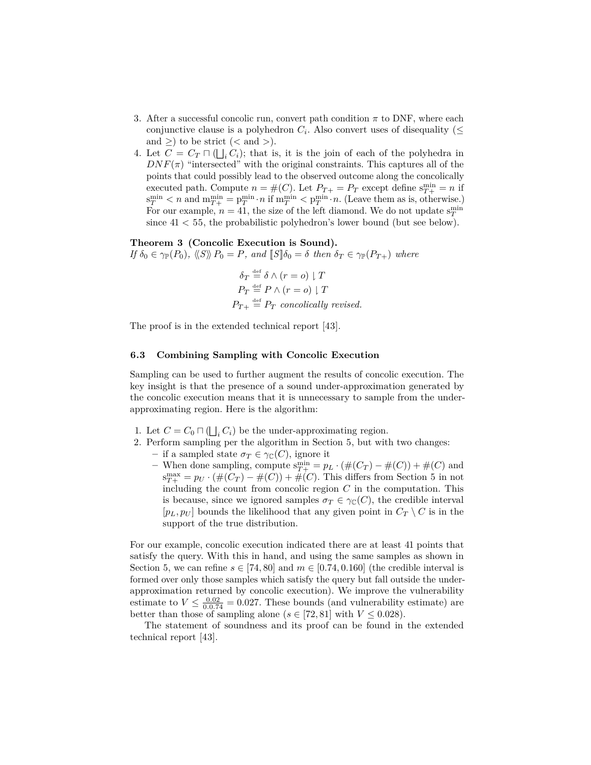- 3. After a successful concolic run, convert path condition *π* to DNF, where each conjunctive clause is a polyhedron  $C_i$ . Also convert uses of disequality ( $\leq$ and  $\geq$  to be strict ( $\lt$  and  $\gt$ ).
- 4. Let  $C = C_T \sqcap (\bigsqcup_i C_i)$ ; that is, it is the join of each of the polyhedra in  $DNF(\pi)$  "intersected" with the original constraints. This captures all of the points that could possibly lead to the observed outcome along the concolically executed path. Compute  $n = \#(C)$ . Let  $P_{T+} = P_T$  except define  $s_{T+}^{\min} = n$  if  $\sigma_T^{\text{min}} < n$  and  $m_{T+}^{\text{min}} = p_T^{\text{min}} \cdot n$  if  $m_T^{\text{min}} < p_T^{\text{min}} \cdot n$ . (Leave them as is, otherwise.) For our example,  $n = 41$ , the size of the left diamond. We do not update  $s_T^{\text{min}}$ since  $41 < 55$ , the probabilistic polyhedron's lower bound (but see below).

#### **Theorem 3 (Concolic Execution is Sound).**

 $I f \delta_0 \in \gamma_{\mathbb{P}}(P_0)$ *,*  $\langle\langle S \rangle\rangle P_0 = P$ *, and*  $\llbracket S \rrbracket \delta_0 = \delta$  *then*  $\delta_T \in \gamma_{\mathbb{P}}(P_{T+})$  *where* 

$$
\delta_T \stackrel{\text{def}}{=} \delta \wedge (r = o) \downharpoonright T
$$
\n
$$
P_T \stackrel{\text{def}}{=} P \wedge (r = o) \downharpoonright T
$$
\n
$$
P_{T+} \stackrel{\text{def}}{=} P_T \text{ concolically revised.}
$$

The proof is in the extended technical report [\[43\]](#page-22-3).

#### <span id="page-13-0"></span>**6.3 Combining Sampling with Concolic Execution**

Sampling can be used to further augment the results of concolic execution. The key insight is that the presence of a sound under-approximation generated by the concolic execution means that it is unnecessary to sample from the underapproximating region. Here is the algorithm:

- 1. Let  $C = C_0 \sqcap (\bigsqcup_i C_i)$  be the under-approximating region.
- 2. Perform sampling per the algorithm in Section [5,](#page-9-1) but with two changes:
	- $−$  if a sampled state  $σ_T ∈ γ_⊂(C)$ , ignore it
		- *−* When done sampling, compute  $s_{T+}^{\min} = p_L \cdot (\#(C_T) \#(C)) + \#(C)$  and  $s_{T+}^{\max} = p_U \cdot (\#(C_T) - \#(C)) + \#(C)$ . This differs from Section [5](#page-9-1) in not including the count from concolic region *C* in the computation. This is because, since we ignored samples  $\sigma_T \in \gamma_{\mathbb{C}}(C)$ , the credible interval  $[p_L, p_U]$  bounds the likelihood that any given point in  $C_T \setminus C$  is in the support of the true distribution.

For our example, concolic execution indicated there are at least 41 points that satisfy the query. With this in hand, and using the same samples as shown in Section [5,](#page-9-1) we can refine  $s \in [74, 80]$  and  $m \in [0.74, 0.160]$  (the credible interval is formed over only those samples which satisfy the query but fall outside the underapproximation returned by concolic execution). We improve the vulnerability estimate to  $V \leq \frac{0.02}{0.0.74} = 0.027$ . These bounds (and vulnerability estimate) are better than those of sampling alone ( $s \in [72, 81]$  with  $V \leq 0.028$ ).

The statement of soundness and its proof can be found in the extended technical report [\[43\]](#page-22-3).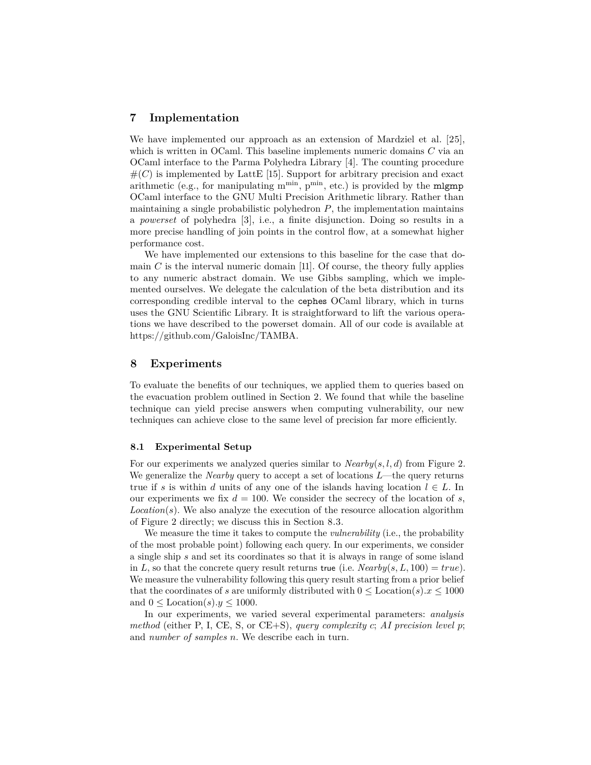## <span id="page-14-0"></span>**7 Implementation**

We have implemented our approach as an extension of Mardziel et al. [\[25\]](#page-21-2), which is written in OCaml. This baseline implements numeric domains *C* via an OCaml interface to the Parma Polyhedra Library [\[4\]](#page-20-6). The counting procedure  $#(C)$  is implemented by LattE [\[15\]](#page-20-7). Support for arbitrary precision and exact arithmetic (e.g., for manipulating  $m^{min}$ ,  $p^{min}$ , etc.) is provided by the **migmp** OCaml interface to the GNU Multi Precision Arithmetic library. Rather than maintaining a single probabilistic polyhedron *P*, the implementation maintains a *powerset* of polyhedra [\[3\]](#page-20-8), i.e., a finite disjunction. Doing so results in a more precise handling of join points in the control flow, at a somewhat higher performance cost.

We have implemented our extensions to this baseline for the case that domain  $C$  is the interval numeric domain [\[11\]](#page-20-4). Of course, the theory fully applies to any numeric abstract domain. We use Gibbs sampling, which we implemented ourselves. We delegate the calculation of the beta distribution and its corresponding credible interval to the cephes OCaml library, which in turns uses the GNU Scientific Library. It is straightforward to lift the various operations we have described to the powerset domain. All of our code is available at [https://github.com/GaloisInc/TAMBA.](https://github.com/GaloisInc/TAMBA)

## <span id="page-14-1"></span>**8 Experiments**

To evaluate the benefits of our techniques, we applied them to queries based on the evacuation problem outlined in Section [2.](#page-2-0) We found that while the baseline technique can yield precise answers when computing vulnerability, our new techniques can achieve close to the same level of precision far more efficiently.

#### **8.1 Experimental Setup**

For our experiments we analyzed queries similar to *Nearby*(*s, l, d*) from Figure [2.](#page-3-0) We generalize the *Nearby* query to accept a set of locations *L*—the query returns true if *s* is within *d* units of any one of the islands having location  $l \in L$ . In our experiments we fix  $d = 100$ . We consider the secrecy of the location of *s*,  $Location(s)$ . We also analyze the execution of the resource allocation algorithm of Figure [2](#page-3-0) directly; we discuss this in Section [8.3.](#page-17-0)

We measure the time it takes to compute the *vulnerability* (i.e., the probability of the most probable point) following each query. In our experiments, we consider a single ship *s* and set its coordinates so that it is always in range of some island in *L*, so that the concrete query result returns true (i.e.  $Nearby(s, L, 100) = true$ ). We measure the vulnerability following this query result starting from a prior belief that the coordinates of *s* are uniformly distributed with  $0 \leq$  Location(*s*)*.x*  $\leq$  1000 and  $0 \leq$  Location(s). $y \leq 1000$ .

In our experiments, we varied several experimental parameters: *analysis method* (either P, I, CE, S, or CE+S), *query complexity c*; *AI precision level p*; and *number of samples n*. We describe each in turn.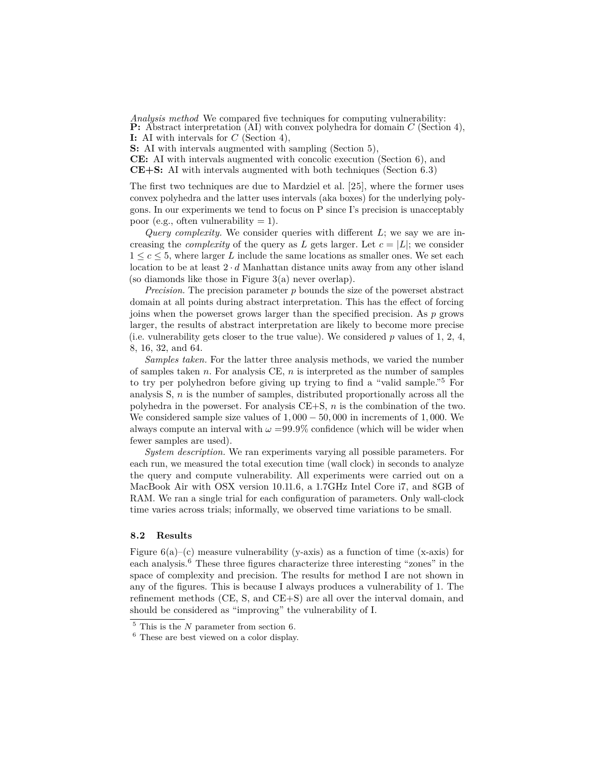*Analysis method* We compared five techniques for computing vulnerability: **P:** Abstract interpretation (AI) with convex polyhedra for domain *C* (Section [4\)](#page-9-2), **I:** AI with intervals for *C* (Section [4\)](#page-9-2),

**S:** AI with intervals augmented with sampling (Section [5\)](#page-9-1),

**CE:** AI with intervals augmented with concolic execution (Section [6\)](#page-11-0), and **CE+S:** AI with intervals augmented with both techniques (Section [6.3\)](#page-13-0)

The first two techniques are due to Mardziel et al. [\[25\]](#page-21-2), where the former uses convex polyhedra and the latter uses intervals (aka boxes) for the underlying polygons. In our experiments we tend to focus on P since I's precision is unacceptably poor (e.g., often vulnerability  $= 1$ ).

*Query complexity.* We consider queries with different *L*; we say we are increasing the *complexity* of the query as *L* gets larger. Let  $c = |L|$ ; we consider  $1 \leq c \leq 5$ , where larger *L* include the same locations as smaller ones. We set each location to be at least 2 · *d* Manhattan distance units away from any other island (so diamonds like those in Figure [3\(](#page-5-0)a) never overlap).

*Precision.* The precision parameter *p* bounds the size of the powerset abstract domain at all points during abstract interpretation. This has the effect of forcing joins when the powerset grows larger than the specified precision. As *p* grows larger, the results of abstract interpretation are likely to become more precise (i.e. vulnerability gets closer to the true value). We considered *p* values of 1, 2, 4, 8, 16, 32, and 64.

*Samples taken.* For the latter three analysis methods, we varied the number of samples taken *n*. For analysis CE, *n* is interpreted as the number of samples to try per polyhedron before giving up trying to find a "valid sample."[5](#page-15-0) For analysis S, *n* is the number of samples, distributed proportionally across all the polyhedra in the powerset. For analysis CE+S, *n* is the combination of the two. We considered sample size values of 1*,* 000 − 50*,* 000 in increments of 1*,* 000. We always compute an interval with  $\omega = 99.9\%$  confidence (which will be wider when fewer samples are used).

*System description.* We ran experiments varying all possible parameters. For each run, we measured the total execution time (wall clock) in seconds to analyze the query and compute vulnerability. All experiments were carried out on a MacBook Air with OSX version 10.11.6, a 1.7GHz Intel Core i7, and 8GB of RAM. We ran a single trial for each configuration of parameters. Only wall-clock time varies across trials; informally, we observed time variations to be small.

#### **8.2 Results**

Figure  $6(a)$  $6(a)$ –(c) measure vulnerability (y-axis) as a function of time (x-axis) for each analysis.[6](#page-15-1) These three figures characterize three interesting "zones" in the space of complexity and precision. The results for method I are not shown in any of the figures. This is because I always produces a vulnerability of 1. The refinement methods (CE, S, and CE+S) are all over the interval domain, and should be considered as "improving" the vulnerability of I.

<span id="page-15-0"></span><sup>5</sup> This is the *N* parameter from section [6.](#page-11-0)

<span id="page-15-1"></span><sup>6</sup> These are best viewed on a color display.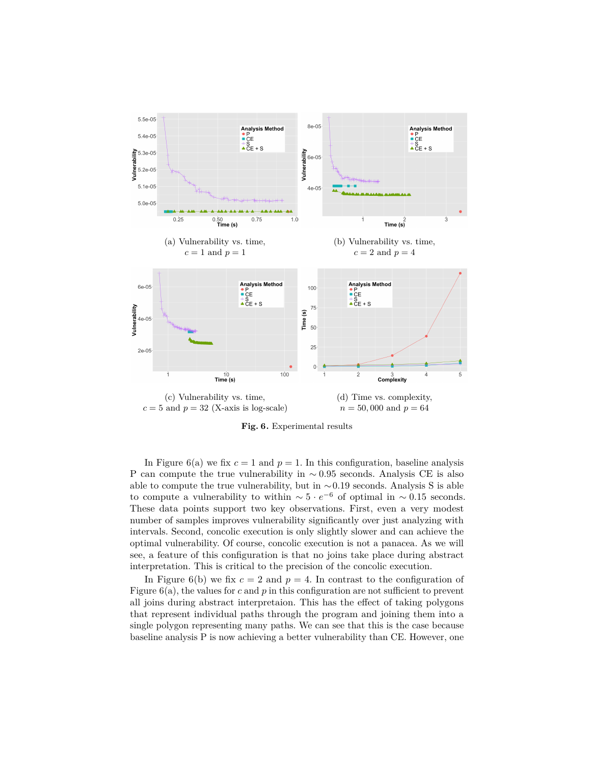<span id="page-16-0"></span>

**Fig. 6.** Experimental results

In Figure [6\(](#page-16-0)a) we fix  $c = 1$  and  $p = 1$ . In this configuration, baseline analysis P can compute the true vulnerability in ∼ 0*.*95 seconds. Analysis CE is also able to compute the true vulnerability, but in ∼0*.*19 seconds. Analysis S is able to compute a vulnerability to within  $\sim 5 \cdot e^{-6}$  of optimal in  $\sim 0.15$  seconds. These data points support two key observations. First, even a very modest number of samples improves vulnerability significantly over just analyzing with intervals. Second, concolic execution is only slightly slower and can achieve the optimal vulnerability. Of course, concolic execution is not a panacea. As we will see, a feature of this configuration is that no joins take place during abstract interpretation. This is critical to the precision of the concolic execution.

In Figure [6\(](#page-16-0)b) we fix  $c = 2$  and  $p = 4$ . In contrast to the configuration of Figure  $6(a)$  $6(a)$ , the values for *c* and *p* in this configuration are not sufficient to prevent all joins during abstract interpretaion. This has the effect of taking polygons that represent individual paths through the program and joining them into a single polygon representing many paths. We can see that this is the case because baseline analysis P is now achieving a better vulnerability than CE. However, one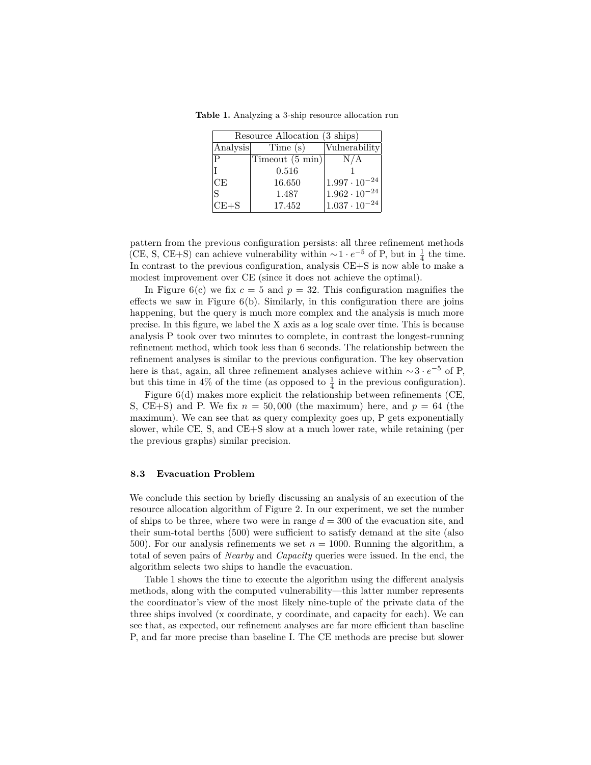| Resource Allocation (3 ships) |                 |                        |  |  |
|-------------------------------|-----------------|------------------------|--|--|
| Analysis                      | Time (s)        | Vulnerability          |  |  |
| P                             | Timeout (5 min) | N/A                    |  |  |
|                               | 0.516           |                        |  |  |
| CE                            | 16.650          | $1.997 \cdot 10^{-24}$ |  |  |
| ς                             | 1.487           | $1.962 \cdot 10^{-24}$ |  |  |
| $CE + S$                      | 17.452          | $1.037 \cdot 10^{-24}$ |  |  |

<span id="page-17-1"></span>**Table 1.** Analyzing a 3-ship resource allocation run

pattern from the previous configuration persists: all three refinement methods (CE, S, CE+S) can achieve vulnerability within  $\sim$ 1 ·  $e^{-5}$  of P, but in  $\frac{1}{4}$  the time. In contrast to the previous configuration, analysis CE+S is now able to make a modest improvement over CE (since it does not achieve the optimal).

In Figure [6\(](#page-16-0)c) we fix  $c = 5$  and  $p = 32$ . This configuration magnifies the effects we saw in Figure  $6(b)$  $6(b)$ . Similarly, in this configuration there are joins happening, but the query is much more complex and the analysis is much more precise. In this figure, we label the X axis as a log scale over time. This is because analysis P took over two minutes to complete, in contrast the longest-running refinement method, which took less than 6 seconds. The relationship between the refinement analyses is similar to the previous configuration. The key observation here is that, again, all three refinement analyses achieve within ∼3 · *e* <sup>−</sup><sup>5</sup> of P, but this time in 4% of the time (as opposed to  $\frac{1}{4}$  in the previous configuration).

Figure  $6(d)$  $6(d)$  makes more explicit the relationship between refinements (CE, S, CE+S) and P. We fix  $n = 50,000$  (the maximum) here, and  $p = 64$  (the maximum). We can see that as query complexity goes up, P gets exponentially slower, while CE, S, and CE+S slow at a much lower rate, while retaining (per the previous graphs) similar precision.

#### <span id="page-17-0"></span>**8.3 Evacuation Problem**

We conclude this section by briefly discussing an analysis of an execution of the resource allocation algorithm of Figure [2.](#page-3-0) In our experiment, we set the number of ships to be three, where two were in range  $d = 300$  of the evacuation site, and their sum-total berths (500) were sufficient to satisfy demand at the site (also 500). For our analysis refinements we set  $n = 1000$ . Running the algorithm, a total of seven pairs of *Nearby* and *Capacity* queries were issued. In the end, the algorithm selects two ships to handle the evacuation.

Table [1](#page-17-1) shows the time to execute the algorithm using the different analysis methods, along with the computed vulnerability—this latter number represents the coordinator's view of the most likely nine-tuple of the private data of the three ships involved (x coordinate, y coordinate, and capacity for each). We can see that, as expected, our refinement analyses are far more efficient than baseline P, and far more precise than baseline I. The CE methods are precise but slower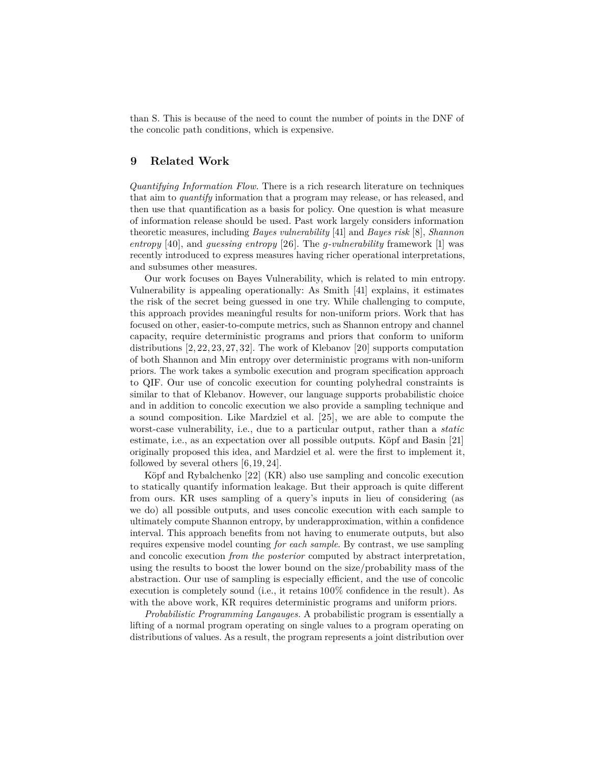than S. This is because of the need to count the number of points in the DNF of the concolic path conditions, which is expensive.

# <span id="page-18-0"></span>**9 Related Work**

*Quantifying Information Flow.* There is a rich research literature on techniques that aim to *quantify* information that a program may release, or has released, and then use that quantification as a basis for policy. One question is what measure of information release should be used. Past work largely considers information theoretic measures, including *Bayes vulnerability* [\[41\]](#page-22-0) and *Bayes risk* [\[8\]](#page-20-9), *Shannon entropy* [\[40\]](#page-22-4), and *guessing entropy* [\[26\]](#page-21-5). The *g-vulnerability* framework [\[1\]](#page-20-10) was recently introduced to express measures having richer operational interpretations, and subsumes other measures.

Our work focuses on Bayes Vulnerability, which is related to min entropy. Vulnerability is appealing operationally: As Smith [\[41\]](#page-22-0) explains, it estimates the risk of the secret being guessed in one try. While challenging to compute, this approach provides meaningful results for non-uniform priors. Work that has focused on other, easier-to-compute metrics, such as Shannon entropy and channel capacity, require deterministic programs and priors that conform to uniform distributions [\[2,](#page-20-11)[22,](#page-21-6)[23,](#page-21-7)[27,](#page-21-8)[32\]](#page-21-9). The work of Klebanov [\[20\]](#page-21-10) supports computation of both Shannon and Min entropy over deterministic programs with non-uniform priors. The work takes a symbolic execution and program specification approach to QIF. Our use of concolic execution for counting polyhedral constraints is similar to that of Klebanov. However, our language supports probabilistic choice and in addition to concolic execution we also provide a sampling technique and a sound composition. Like Mardziel et al. [\[25\]](#page-21-2), we are able to compute the worst-case vulnerability, i.e., due to a particular output, rather than a *static* estimate, i.e., as an expectation over all possible outputs. Köpf and Basin [\[21\]](#page-21-11) originally proposed this idea, and Mardziel et al. were the first to implement it, followed by several others  $[6, 19, 24]$  $[6, 19, 24]$  $[6, 19, 24]$  $[6, 19, 24]$  $[6, 19, 24]$ .

Köpf and Rybalchenko [\[22\]](#page-21-6) (KR) also use sampling and concolic execution to statically quantify information leakage. But their approach is quite different from ours. KR uses sampling of a query's inputs in lieu of considering (as we do) all possible outputs, and uses concolic execution with each sample to ultimately compute Shannon entropy, by underapproximation, within a confidence interval. This approach benefits from not having to enumerate outputs, but also requires expensive model counting *for each sample*. By contrast, we use sampling and concolic execution *from the posterior* computed by abstract interpretation, using the results to boost the lower bound on the size/probability mass of the abstraction. Our use of sampling is especially efficient, and the use of concolic execution is completely sound (i.e., it retains 100% confidence in the result). As with the above work, KR requires deterministic programs and uniform priors.

*Probabilistic Programming Langauges.* A probabilistic program is essentially a lifting of a normal program operating on single values to a program operating on distributions of values. As a result, the program represents a joint distribution over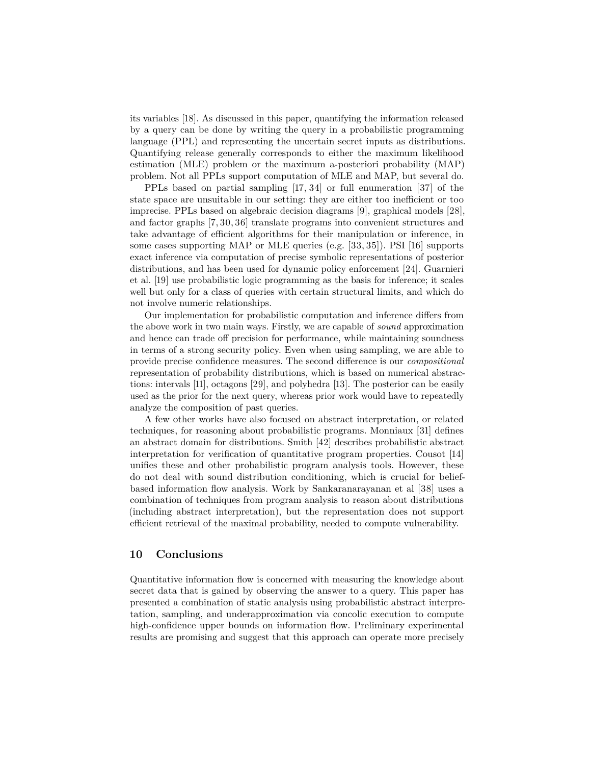its variables [\[18\]](#page-21-3). As discussed in this paper, quantifying the information released by a query can be done by writing the query in a probabilistic programming language (PPL) and representing the uncertain secret inputs as distributions. Quantifying release generally corresponds to either the maximum likelihood estimation (MLE) problem or the maximum a-posteriori probability (MAP) problem. Not all PPLs support computation of MLE and MAP, but several do.

PPLs based on partial sampling [\[17,](#page-21-12) [34\]](#page-21-13) or full enumeration [\[37\]](#page-22-5) of the state space are unsuitable in our setting: they are either too inefficient or too imprecise. PPLs based on algebraic decision diagrams [\[9\]](#page-20-12), graphical models [\[28\]](#page-21-14), and factor graphs [\[7,](#page-20-13)[30,](#page-21-15)[36\]](#page-22-6) translate programs into convenient structures and take advantage of efficient algorithms for their manipulation or inference, in some cases supporting MAP or MLE queries (e.g. [\[33,](#page-21-16)[35\]](#page-21-17)). PSI [\[16\]](#page-20-14) supports exact inference via computation of precise symbolic representations of posterior distributions, and has been used for dynamic policy enforcement [\[24\]](#page-21-1). Guarnieri et al. [\[19\]](#page-21-0) use probabilistic logic programming as the basis for inference; it scales well but only for a class of queries with certain structural limits, and which do not involve numeric relationships.

Our implementation for probabilistic computation and inference differs from the above work in two main ways. Firstly, we are capable of *sound* approximation and hence can trade off precision for performance, while maintaining soundness in terms of a strong security policy. Even when using sampling, we are able to provide precise confidence measures. The second difference is our *compositional* representation of probability distributions, which is based on numerical abstractions: intervals [\[11\]](#page-20-4), octagons [\[29\]](#page-21-4), and polyhedra [\[13\]](#page-20-3). The posterior can be easily used as the prior for the next query, whereas prior work would have to repeatedly analyze the composition of past queries.

A few other works have also focused on abstract interpretation, or related techniques, for reasoning about probabilistic programs. Monniaux [\[31\]](#page-21-18) defines an abstract domain for distributions. Smith [\[42\]](#page-22-7) describes probabilistic abstract interpretation for verification of quantitative program properties. Cousot [\[14\]](#page-20-15) unifies these and other probabilistic program analysis tools. However, these do not deal with sound distribution conditioning, which is crucial for beliefbased information flow analysis. Work by Sankaranarayanan et al [\[38\]](#page-22-8) uses a combination of techniques from program analysis to reason about distributions (including abstract interpretation), but the representation does not support efficient retrieval of the maximal probability, needed to compute vulnerability.

## **10 Conclusions**

Quantitative information flow is concerned with measuring the knowledge about secret data that is gained by observing the answer to a query. This paper has presented a combination of static analysis using probabilistic abstract interpretation, sampling, and underapproximation via concolic execution to compute high-confidence upper bounds on information flow. Preliminary experimental results are promising and suggest that this approach can operate more precisely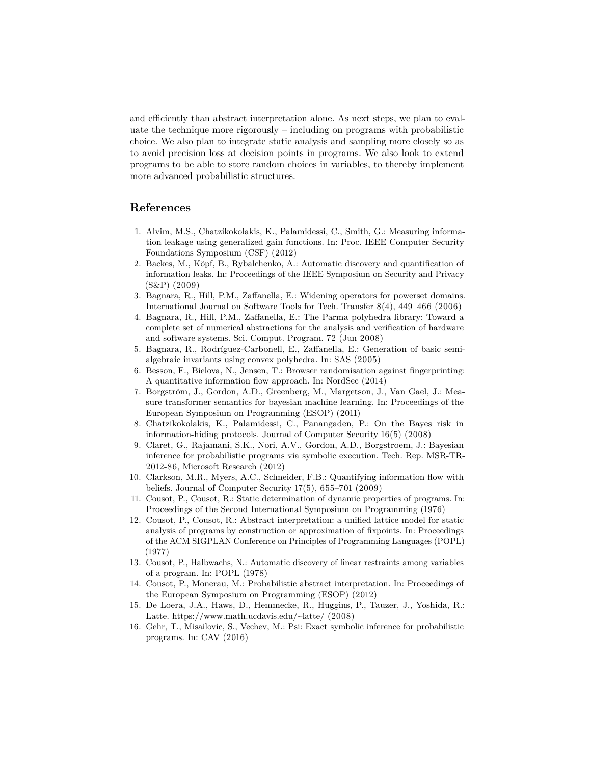and efficiently than abstract interpretation alone. As next steps, we plan to evaluate the technique more rigorously – including on programs with probabilistic choice. We also plan to integrate static analysis and sampling more closely so as to avoid precision loss at decision points in programs. We also look to extend programs to be able to store random choices in variables, to thereby implement more advanced probabilistic structures.

## **References**

- <span id="page-20-10"></span>1. Alvim, M.S., Chatzikokolakis, K., Palamidessi, C., Smith, G.: Measuring information leakage using generalized gain functions. In: Proc. IEEE Computer Security Foundations Symposium (CSF) (2012)
- <span id="page-20-11"></span>2. Backes, M., Köpf, B., Rybalchenko, A.: Automatic discovery and quantification of information leaks. In: Proceedings of the IEEE Symposium on Security and Privacy (S&P) (2009)
- <span id="page-20-8"></span>3. Bagnara, R., Hill, P.M., Zaffanella, E.: Widening operators for powerset domains. International Journal on Software Tools for Tech. Transfer 8(4), 449–466 (2006)
- <span id="page-20-6"></span>4. Bagnara, R., Hill, P.M., Zaffanella, E.: The Parma polyhedra library: Toward a complete set of numerical abstractions for the analysis and verification of hardware and software systems. Sci. Comput. Program. 72 (Jun 2008)
- <span id="page-20-5"></span>5. Bagnara, R., Rodríguez-Carbonell, E., Zaffanella, E.: Generation of basic semialgebraic invariants using convex polyhedra. In: SAS (2005)
- <span id="page-20-1"></span>6. Besson, F., Bielova, N., Jensen, T.: Browser randomisation against fingerprinting: A quantitative information flow approach. In: NordSec (2014)
- <span id="page-20-13"></span>7. Borgström, J., Gordon, A.D., Greenberg, M., Margetson, J., Van Gael, J.: Measure transformer semantics for bayesian machine learning. In: Proceedings of the European Symposium on Programming (ESOP) (2011)
- <span id="page-20-9"></span>8. Chatzikokolakis, K., Palamidessi, C., Panangaden, P.: On the Bayes risk in information-hiding protocols. Journal of Computer Security 16(5) (2008)
- <span id="page-20-12"></span>9. Claret, G., Rajamani, S.K., Nori, A.V., Gordon, A.D., Borgstroem, J.: Bayesian inference for probabilistic programs via symbolic execution. Tech. Rep. MSR-TR-2012-86, Microsoft Research (2012)
- <span id="page-20-0"></span>10. Clarkson, M.R., Myers, A.C., Schneider, F.B.: Quantifying information flow with beliefs. Journal of Computer Security 17(5), 655–701 (2009)
- <span id="page-20-4"></span>11. Cousot, P., Cousot, R.: Static determination of dynamic properties of programs. In: Proceedings of the Second International Symposium on Programming (1976)
- <span id="page-20-2"></span>12. Cousot, P., Cousot, R.: Abstract interpretation: a unified lattice model for static analysis of programs by construction or approximation of fixpoints. In: Proceedings of the ACM SIGPLAN Conference on Principles of Programming Languages (POPL) (1977)
- <span id="page-20-3"></span>13. Cousot, P., Halbwachs, N.: Automatic discovery of linear restraints among variables of a program. In: POPL (1978)
- <span id="page-20-15"></span>14. Cousot, P., Monerau, M.: Probabilistic abstract interpretation. In: Proceedings of the European Symposium on Programming (ESOP) (2012)
- <span id="page-20-7"></span>15. De Loera, J.A., Haws, D., Hemmecke, R., Huggins, P., Tauzer, J., Yoshida, R.: Latte. <https://www.math.ucdavis.edu/~latte/> (2008)
- <span id="page-20-14"></span>16. Gehr, T., Misailovic, S., Vechev, M.: Psi: Exact symbolic inference for probabilistic programs. In: CAV (2016)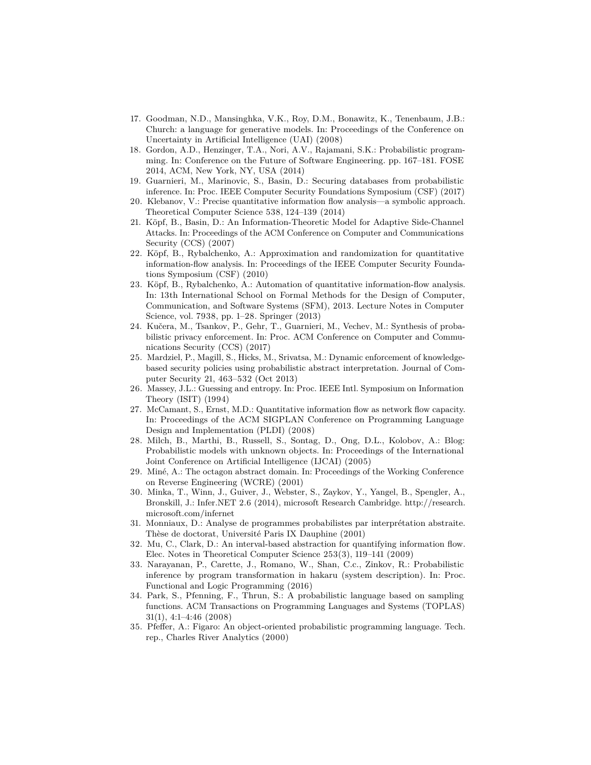- <span id="page-21-12"></span>17. Goodman, N.D., Mansinghka, V.K., Roy, D.M., Bonawitz, K., Tenenbaum, J.B.: Church: a language for generative models. In: Proceedings of the Conference on Uncertainty in Artificial Intelligence (UAI) (2008)
- <span id="page-21-3"></span>18. Gordon, A.D., Henzinger, T.A., Nori, A.V., Rajamani, S.K.: Probabilistic programming. In: Conference on the Future of Software Engineering. pp. 167–181. FOSE 2014, ACM, New York, NY, USA (2014)
- <span id="page-21-0"></span>19. Guarnieri, M., Marinovic, S., Basin, D.: Securing databases from probabilistic inference. In: Proc. IEEE Computer Security Foundations Symposium (CSF) (2017)
- <span id="page-21-10"></span>20. Klebanov, V.: Precise quantitative information flow analysis—a symbolic approach. Theoretical Computer Science 538, 124–139 (2014)
- <span id="page-21-11"></span>21. Köpf, B., Basin, D.: An Information-Theoretic Model for Adaptive Side-Channel Attacks. In: Proceedings of the ACM Conference on Computer and Communications Security (CCS) (2007)
- <span id="page-21-6"></span>22. Köpf, B., Rybalchenko, A.: Approximation and randomization for quantitative information-flow analysis. In: Proceedings of the IEEE Computer Security Foundations Symposium (CSF) (2010)
- <span id="page-21-7"></span>23. Köpf, B., Rybalchenko, A.: Automation of quantitative information-flow analysis. In: 13th International School on Formal Methods for the Design of Computer, Communication, and Software Systems (SFM), 2013. Lecture Notes in Computer Science, vol. 7938, pp. 1–28. Springer (2013)
- <span id="page-21-1"></span>24. Kučera, M., Tsankov, P., Gehr, T., Guarnieri, M., Vechev, M.: Synthesis of probabilistic privacy enforcement. In: Proc. ACM Conference on Computer and Communications Security (CCS) (2017)
- <span id="page-21-2"></span>25. Mardziel, P., Magill, S., Hicks, M., Srivatsa, M.: Dynamic enforcement of knowledgebased security policies using probabilistic abstract interpretation. Journal of Computer Security 21, 463–532 (Oct 2013)
- <span id="page-21-5"></span>26. Massey, J.L.: Guessing and entropy. In: Proc. IEEE Intl. Symposium on Information Theory (ISIT) (1994)
- <span id="page-21-8"></span>27. McCamant, S., Ernst, M.D.: Quantitative information flow as network flow capacity. In: Proceedings of the ACM SIGPLAN Conference on Programming Language Design and Implementation (PLDI) (2008)
- <span id="page-21-14"></span>28. Milch, B., Marthi, B., Russell, S., Sontag, D., Ong, D.L., Kolobov, A.: Blog: Probabilistic models with unknown objects. In: Proceedings of the International Joint Conference on Artificial Intelligence (IJCAI) (2005)
- <span id="page-21-4"></span>29. Miné, A.: The octagon abstract domain. In: Proceedings of the Working Conference on Reverse Engineering (WCRE) (2001)
- <span id="page-21-15"></span>30. Minka, T., Winn, J., Guiver, J., Webster, S., Zaykov, Y., Yangel, B., Spengler, A., Bronskill, J.: Infer.NET 2.6 (2014), microsoft Research Cambridge. [http://research.](http://research.microsoft.com/infernet) [microsoft.com/infernet](http://research.microsoft.com/infernet)
- <span id="page-21-18"></span>31. Monniaux, D.: Analyse de programmes probabilistes par interprétation abstraite. Thèse de doctorat, Université Paris IX Dauphine (2001)
- <span id="page-21-9"></span>32. Mu, C., Clark, D.: An interval-based abstraction for quantifying information flow. Elec. Notes in Theoretical Computer Science 253(3), 119–141 (2009)
- <span id="page-21-16"></span>33. Narayanan, P., Carette, J., Romano, W., Shan, C.c., Zinkov, R.: Probabilistic inference by program transformation in hakaru (system description). In: Proc. Functional and Logic Programming (2016)
- <span id="page-21-13"></span>34. Park, S., Pfenning, F., Thrun, S.: A probabilistic language based on sampling functions. ACM Transactions on Programming Languages and Systems (TOPLAS) 31(1), 4:1–4:46 (2008)
- <span id="page-21-17"></span>35. Pfeffer, A.: Figaro: An object-oriented probabilistic programming language. Tech. rep., Charles River Analytics (2000)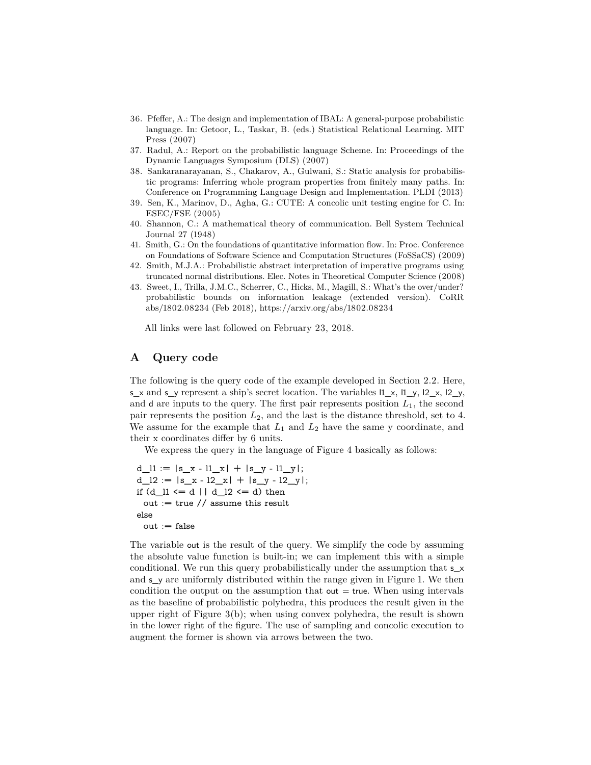- <span id="page-22-6"></span>36. Pfeffer, A.: The design and implementation of IBAL: A general-purpose probabilistic language. In: Getoor, L., Taskar, B. (eds.) Statistical Relational Learning. MIT Press (2007)
- <span id="page-22-5"></span>37. Radul, A.: Report on the probabilistic language Scheme. In: Proceedings of the Dynamic Languages Symposium (DLS) (2007)
- <span id="page-22-8"></span>38. Sankaranarayanan, S., Chakarov, A., Gulwani, S.: Static analysis for probabilistic programs: Inferring whole program properties from finitely many paths. In: Conference on Programming Language Design and Implementation. PLDI (2013)
- <span id="page-22-1"></span>39. Sen, K., Marinov, D., Agha, G.: CUTE: A concolic unit testing engine for C. In: ESEC/FSE (2005)
- <span id="page-22-4"></span>40. Shannon, C.: A mathematical theory of communication. Bell System Technical Journal 27 (1948)
- <span id="page-22-0"></span>41. Smith, G.: On the foundations of quantitative information flow. In: Proc. Conference on Foundations of Software Science and Computation Structures (FoSSaCS) (2009)
- <span id="page-22-7"></span>42. Smith, M.J.A.: Probabilistic abstract interpretation of imperative programs using truncated normal distributions. Elec. Notes in Theoretical Computer Science (2008)
- <span id="page-22-3"></span>43. Sweet, I., Trilla, J.M.C., Scherrer, C., Hicks, M., Magill, S.: What's the over/under? probabilistic bounds on information leakage (extended version). CoRR abs/1802.08234 (Feb 2018), <https://arxiv.org/abs/1802.08234>

All links were last followed on February 23, 2018.

# <span id="page-22-2"></span>**A Query code**

The following is the query code of the example developed in Section [2.2.](#page-4-0) Here,  $s_x$  and  $s_y$  represent a ship's secret location. The variables  $1_x, 1_y, 12_x, 12_y,$ and  $d$  are inputs to the query. The first pair represents position  $L_1$ , the second pair represents the position *L*2, and the last is the distance threshold, set to 4. We assume for the example that  $L_1$  and  $L_2$  have the same y coordinate, and their x coordinates differ by 6 units.

We express the query in the language of Figure [4](#page-6-1) basically as follows:

```
d 11 := |s x - 11 x| + |s y - 11 y|;d_12 := |s_x - 12_x| + |s_y - 12_y|;if (d 11 \le d \mid d 12 \le d) then
 out := true // assume this result
else
 out := false
```
The variable out is the result of the query. We simplify the code by assuming the absolute value function is built-in; we can implement this with a simple conditional. We run this query probabilistically under the assumption that s\_x and s\_y are uniformly distributed within the range given in Figure [1.](#page-2-1) We then condition the output on the assumption that out  $=$  true. When using intervals as the baseline of probabilistic polyhedra, this produces the result given in the upper right of Figure [3\(](#page-5-0)b); when using convex polyhedra, the result is shown in the lower right of the figure. The use of sampling and concolic execution to augment the former is shown via arrows between the two.